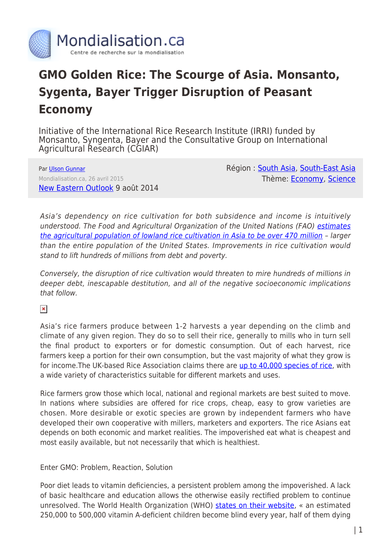

## **GMO Golden Rice: The Scourge of Asia. Monsanto, Sygenta, Bayer Trigger Disruption of Peasant Economy**

Initiative of the International Rice Research Institute (IRRI) funded by Monsanto, Syngenta, Bayer and the Consultative Group on International Agricultural Research (CGIAR)

Par [Ulson Gunnar](https://www.mondialisation.ca/author/gunnar) Mondialisation.ca, 26 avril 2015 [New Eastern Outlook](: http://journal-neo.org/2014/08/09/gmo-golden-rice-the-scourge-of-asia/) 9 août 2014 Région : [South Asia](https://www.mondialisation.ca/region/south-asia), [South-East Asia](https://www.mondialisation.ca/region/south-east-asia) Thème: [Economy,](https://www.mondialisation.ca/theme/as-economy) [Science](https://www.mondialisation.ca/theme/science)

Asia's dependency on rice cultivation for both subsidence and income is intuitively understood. The Food and Agricultural Organization of the United Nations (FAO) [estimates](http://www.fao.org/docrep/003/y1860e/y1860e08.htm) [the agricultural population of lowland rice cultivation in Asia to be over 470 million](http://www.fao.org/docrep/003/y1860e/y1860e08.htm) – larger than the entire population of the United States. Improvements in rice cultivation would stand to lift hundreds of millions from debt and poverty.

Conversely, the disruption of rice cultivation would threaten to mire hundreds of millions in deeper debt, inescapable destitution, and all of the negative socioeconomic implications that follow.

 $\pmb{\times}$ 

Asia's rice farmers produce between 1-2 harvests a year depending on the climb and climate of any given region. They do so to sell their rice, generally to mills who in turn sell the final product to exporters or for domestic consumption. Out of each harvest, rice farmers keep a portion for their own consumption, but the vast majority of what they grow is for income.The UK-based Rice Association claims there are [up to 40,000 species of rice](http://www.riceassociation.org.uk/content/1/10/varieties.html), with a wide variety of characteristics suitable for different markets and uses.

Rice farmers grow those which local, national and regional markets are best suited to move. In nations where subsidies are offered for rice crops, cheap, easy to grow varieties are chosen. More desirable or exotic species are grown by independent farmers who have developed their own cooperative with millers, marketers and exporters. The rice Asians eat depends on both economic and market realities. The impoverished eat what is cheapest and most easily available, but not necessarily that which is healthiest.

Enter GMO: Problem, Reaction, Solution

Poor diet leads to vitamin deficiencies, a persistent problem among the impoverished. A lack of basic healthcare and education allows the otherwise easily rectified problem to continue unresolved. The World Health Organization (WHO) [states on their website](http://www.who.int/nutrition/topics/vad/en/), « an estimated 250,000 to 500,000 vitamin A-deficient children become blind every year, half of them dying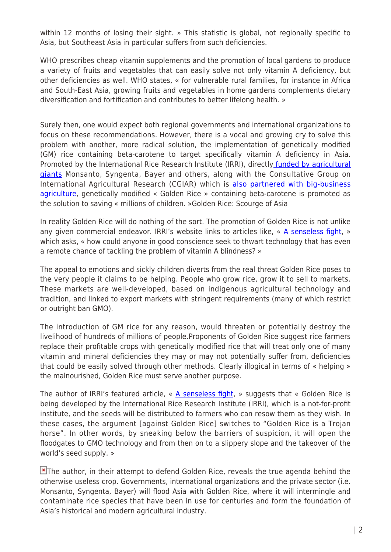within 12 months of losing their sight. » This statistic is global, not regionally specific to Asia, but Southeast Asia in particular suffers from such deficiencies.

WHO prescribes cheap vitamin supplements and the promotion of local gardens to produce a variety of fruits and vegetables that can easily solve not only vitamin A deficiency, but other deficiencies as well. WHO states, « for vulnerable rural families, for instance in Africa and South-East Asia, growing fruits and vegetables in home gardens complements dietary diversification and fortification and contributes to better lifelong health. »

Surely then, one would expect both regional governments and international organizations to focus on these recommendations. However, there is a vocal and growing cry to solve this problem with another, more radical solution, the implementation of genetically modified (GM) rice containing beta-carotene to target specifically vitamin A deficiency in Asia. Promoted by the International Rice Research Institute (IRRI), directl[y funded by agricultural](http://irri.org/about-us/our-funding) [giants](http://irri.org/about-us/our-funding) Monsanto, Syngenta, Bayer and others, along with the Consultative Group on International Agricultural Research (CGIAR) which is [also partnered with big-business](http://www.fao.org/fileadmin/templates/abdc/documents/cgiar.pdf) [agriculture](http://www.fao.org/fileadmin/templates/abdc/documents/cgiar.pdf), genetically modified « Golden Rice » containing beta-carotene is promoted as the solution to saving « millions of children. »Golden Rice: Scourge of Asia

In reality Golden Rice will do nothing of the sort. The promotion of Golden Rice is not unlike any given commercial endeavor. IRRI's website links to articles like, « [A senseless fight](http://irri.org/blogs/golden-rice-blog/a-senseless-fight), » which asks, « how could anyone in good conscience seek to thwart technology that has even a remote chance of tackling the problem of vitamin A blindness? »

The appeal to emotions and sickly children diverts from the real threat Golden Rice poses to the very people it claims to be helping. People who grow rice, grow it to sell to markets. These markets are well-developed, based on indigenous agricultural technology and tradition, and linked to export markets with stringent requirements (many of which restrict or outright ban GMO).

The introduction of GM rice for any reason, would threaten or potentially destroy the livelihood of hundreds of millions of people.Proponents of Golden Rice suggest rice farmers replace their profitable crops with genetically modified rice that will treat only one of many vitamin and mineral deficiencies they may or may not potentially suffer from, deficiencies that could be easily solved through other methods. Clearly illogical in terms of « helping » the malnourished, Golden Rice must serve another purpose.

The author of IRRI's featured article,  $\alpha$  **A senseless fight**,  $\alpha$  suggests that  $\alpha$  Golden Rice is being developed by the International Rice Research Institute (IRRI), which is a not-for-profit institute, and the seeds will be distributed to farmers who can resow them as they wish. In these cases, the argument [against Golden Rice] switches to "Golden Rice is a Trojan horse". In other words, by sneaking below the barriers of suspicion, it will open the floodgates to GMO technology and from then on to a slippery slope and the takeover of the world's seed supply. »

 $\blacktriangleright$ [T](http://1.bp.blogspot.com/-aFeSg0NzdKs/U8e4zeqHdXI/AAAAAAAAAKI/UDXAuSvph0g/s1600/400px-Rice_diversity.jpg)he author, in their attempt to defend Golden Rice, reveals the true agenda behind the otherwise useless crop. Governments, international organizations and the private sector (i.e. Monsanto, Syngenta, Bayer) will flood Asia with Golden Rice, where it will intermingle and contaminate rice species that have been in use for centuries and form the foundation of Asia's historical and modern agricultural industry.